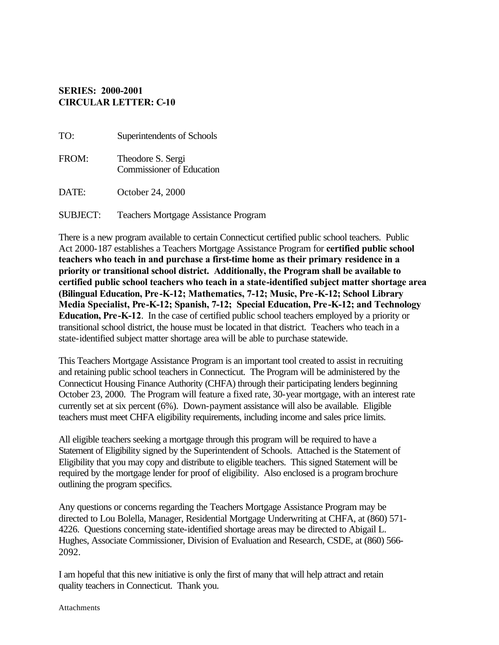## **SERIES: 2000-2001 CIRCULAR LETTER: C-10**

| TO:             | Superintendents of Schools                            |
|-----------------|-------------------------------------------------------|
| FROM:           | Theodore S. Sergi<br><b>Commissioner of Education</b> |
| DATE:           | October 24, 2000                                      |
| <b>SUBJECT:</b> | <b>Teachers Mortgage Assistance Program</b>           |

There is a new program available to certain Connecticut certified public school teachers. Public Act 2000-187 establishes a Teachers Mortgage Assistance Program for **certified public school teachers who teach in and purchase a first-time home as their primary residence in a priority or transitional school district. Additionally, the Program shall be available to certified public school teachers who teach in a state-identified subject matter shortage area (Bilingual Education, Pre-K-12; Mathematics, 7-12; Music, Pre-K-12; School Library Media Specialist, Pre-K-12; Spanish, 7-12; Special Education, Pre-K-12; and Technology Education, Pre-K-12**. In the case of certified public school teachers employed by a priority or transitional school district, the house must be located in that district. Teachers who teach in a state-identified subject matter shortage area will be able to purchase statewide.

This Teachers Mortgage Assistance Program is an important tool created to assist in recruiting and retaining public school teachers in Connecticut. The Program will be administered by the Connecticut Housing Finance Authority (CHFA) through their participating lenders beginning October 23, 2000. The Program will feature a fixed rate, 30-year mortgage, with an interest rate currently set at six percent (6%). Down-payment assistance will also be available. Eligible teachers must meet CHFA eligibility requirements, including income and sales price limits.

All eligible teachers seeking a mortgage through this program will be required to have a Statement of Eligibility signed by the Superintendent of Schools. Attached is the Statement of Eligibility that you may copy and distribute to eligible teachers. This signed Statement will be required by the mortgage lender for proof of eligibility. Also enclosed is a program brochure outlining the program specifics.

Any questions or concerns regarding the Teachers Mortgage Assistance Program may be directed to Lou Bolella, Manager, Residential Mortgage Underwriting at CHFA, at (860) 571- 4226. Questions concerning state-identified shortage areas may be directed to Abigail L. Hughes, Associate Commissioner, Division of Evaluation and Research, CSDE, at (860) 566- 2092.

I am hopeful that this new initiative is only the first of many that will help attract and retain quality teachers in Connecticut. Thank you.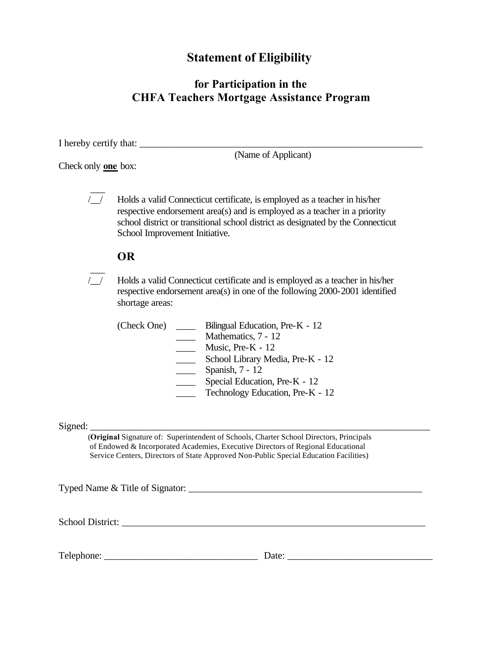# **Statement of Eligibility**

## **for Participation in the CHFA Teachers Mortgage Assistance Program**

I hereby certify that: \_\_\_\_\_\_\_\_\_\_\_\_\_\_\_\_\_\_\_\_\_\_\_\_\_\_\_\_\_\_\_\_\_\_\_\_\_\_\_\_\_\_\_\_\_\_\_\_\_\_\_\_\_\_\_\_\_\_\_

(Name of Applicant)

Check only **one** box:

 $\overline{\phantom{a}}$ 

 $\overline{\phantom{a}}$ /\_\_/ Holds a valid Connecticut certificate, is employed as a teacher in his/her respective endorsement area(s) and is employed as a teacher in a priority school district or transitional school district as designated by the Connecticut School Improvement Initiative.

## **OR**

/\_\_/ Holds a valid Connecticut certificate and is employed as a teacher in his/her respective endorsement area(s) in one of the following 2000-2001 identified shortage areas:

| (Check One) | Bilingual Education, Pre-K - 12  |
|-------------|----------------------------------|
|             | Mathematics, 7 - 12              |
|             | Music, Pre- $K - 12$             |
|             | School Library Media, Pre-K - 12 |
|             | Spanish, 7 - 12                  |
|             | Special Education, Pre-K - 12    |
|             | Technology Education, Pre-K - 12 |

 $Signed:$ 

(**Original** Signature of: Superintendent of Schools, Charter School Directors, Principals of Endowed & Incorporated Academies, Executive Directors of Regional Educational Service Centers, Directors of State Approved Non-Public Special Education Facilities)

Typed Name & Title of Signator: \_\_\_\_\_\_\_\_\_\_\_\_\_\_\_\_\_\_\_\_\_\_\_\_\_\_\_\_\_\_\_\_\_\_\_\_\_\_\_\_\_\_\_\_\_\_\_\_\_

School District: \_\_\_\_\_\_\_\_\_\_\_\_\_\_\_\_\_\_\_\_\_\_\_\_\_\_\_\_\_\_\_\_\_\_\_\_\_\_\_\_\_\_\_\_\_\_\_\_\_\_\_\_\_\_\_\_\_\_\_\_\_\_\_

Telephone:  $\Box$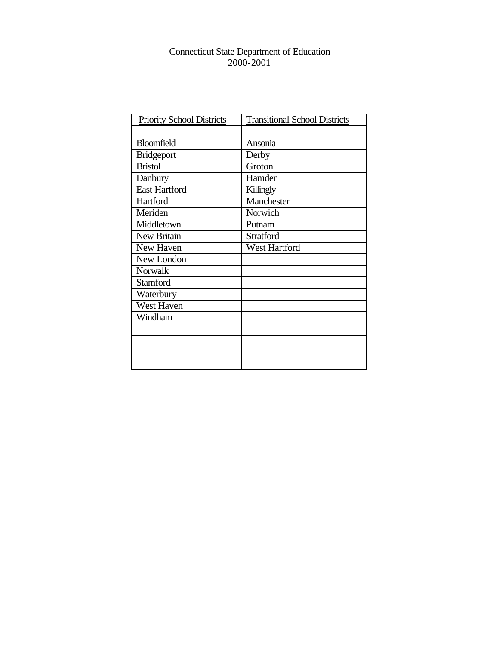### Connecticut State Department of Education 2000-2001

| Priority School Districts | <b>Transitional School Districts</b> |
|---------------------------|--------------------------------------|
|                           |                                      |
| <b>Bloomfield</b>         | Ansonia                              |
| <b>Bridgeport</b>         | Derby                                |
| <b>Bristol</b>            | Groton                               |
| Danbury                   | Hamden                               |
| <b>East Hartford</b>      | Killingly                            |
| Hartford                  | Manchester                           |
| Meriden                   | Norwich                              |
| Middletown                | Putnam                               |
| New Britain               | <b>Stratford</b>                     |
| New Haven                 | West Hartford                        |
| New London                |                                      |
| Norwalk                   |                                      |
| <b>Stamford</b>           |                                      |
| Waterbury                 |                                      |
| West Haven                |                                      |
| Windham                   |                                      |
|                           |                                      |
|                           |                                      |
|                           |                                      |
|                           |                                      |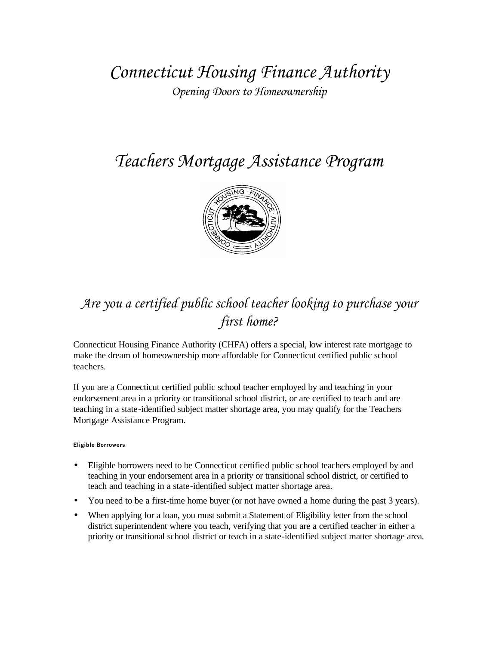*Connecticut Housing Finance Authority Opening Doors to Homeownership* 

# *Teachers Mortgage Assistance Program*



# *Are you a certified public school teacher looking to purchase your first home?*

Connecticut Housing Finance Authority (CHFA) offers a special, low interest rate mortgage to make the dream of homeownership more affordable for Connecticut certified public school teachers.

If you are a Connecticut certified public school teacher employed by and teaching in your endorsement area in a priority or transitional school district, or are certified to teach and are teaching in a state-identified subject matter shortage area, you may qualify for the Teachers Mortgage Assistance Program.

#### **Eligible Borrowers**

- Eligible borrowers need to be Connecticut certified public school teachers employed by and teaching in your endorsement area in a priority or transitional school district, or certified to teach and teaching in a state-identified subject matter shortage area.
- You need to be a first-time home buyer (or not have owned a home during the past 3 years).
- When applying for a loan, you must submit a Statement of Eligibility letter from the school district superintendent where you teach, verifying that you are a certified teacher in either a priority or transitional school district or teach in a state-identified subject matter shortage area.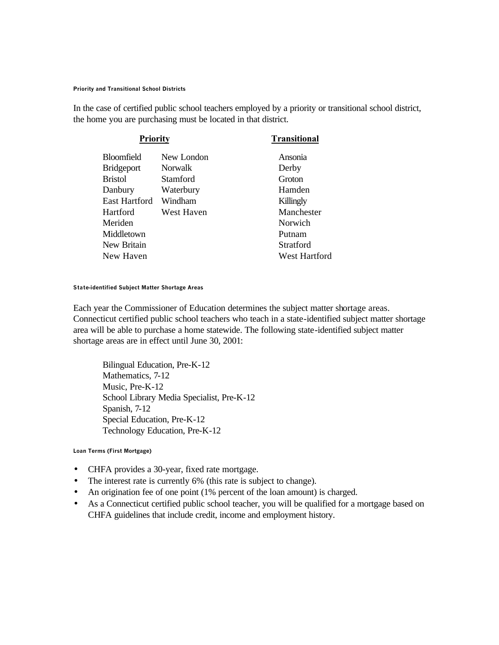#### **Priority and Transitional School Districts**

In the case of certified public school teachers employed by a priority or transitional school district, the home you are purchasing must be located in that district.

| <b>Priority</b>   |                | <b>Transitional</b> |
|-------------------|----------------|---------------------|
| Bloomfield        | New London     | Ansonia             |
| <b>Bridgeport</b> | <b>Norwalk</b> | Derby               |
| <b>Bristol</b>    | Stamford       | Groton              |
| Danbury           | Waterbury      | Hamden              |
| East Hartford     | Windham        | Killingly           |
| Hartford          | West Haven     | Manchester          |
| Meriden           |                | Norwich             |
| Middletown        |                | Putnam              |
| New Britain       |                | Stratford           |
| New Haven         |                | West Hartford       |
|                   |                |                     |

#### **State-identified Subject Matter Shortage Areas**

Each year the Commissioner of Education determines the subject matter shortage areas. Connecticut certified public school teachers who teach in a state-identified subject matter shortage area will be able to purchase a home statewide. The following state-identified subject matter shortage areas are in effect until June 30, 2001:

Bilingual Education, Pre-K-12 Mathematics, 7-12 Music, Pre-K-12 School Library Media Specialist, Pre-K-12 Spanish, 7-12 Special Education, Pre-K-12 Technology Education, Pre-K-12

#### **Loan Terms (First Mortgage)**

- CHFA provides a 30-year, fixed rate mortgage.
- The interest rate is currently 6% (this rate is subject to change).
- An origination fee of one point (1% percent of the loan amount) is charged.
- As a Connecticut certified public school teacher, you will be qualified for a mortgage based on CHFA guidelines that include credit, income and employment history.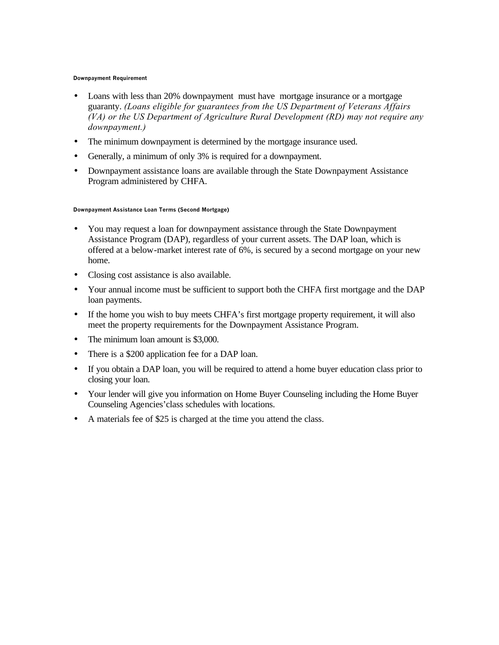#### **Downpayment Requirement**

- Loans with less than 20% downpayment must have mortgage insurance or a mortgage guaranty. *(Loans eligible for guarantees from the US Department of Veterans Affairs (VA) or the US Department of Agriculture Rural Development (RD) may not require any downpayment.)*
- The minimum downpayment is determined by the mortgage insurance used.
- Generally, a minimum of only 3% is required for a downpayment.
- Downpayment assistance loans are available through the State Downpayment Assistance Program administered by CHFA.

#### **Downpayment Assistance Loan Terms (Second Mortgage)**

- You may request a loan for downpayment assistance through the State Downpayment Assistance Program (DAP), regardless of your current assets. The DAP loan, which is offered at a below-market interest rate of 6%, is secured by a second mortgage on your new home.
- Closing cost assistance is also available.
- Your annual income must be sufficient to support both the CHFA first mortgage and the DAP loan payments.
- If the home you wish to buy meets CHFA's first mortgage property requirement, it will also meet the property requirements for the Downpayment Assistance Program.
- The minimum loan amount is \$3,000.
- There is a \$200 application fee for a DAP loan.
- If you obtain a DAP loan, you will be required to attend a home buyer education class prior to closing your loan.
- Your lender will give you information on Home Buyer Counseling including the Home Buyer Counseling Agencies'class schedules with locations.
- A materials fee of \$25 is charged at the time you attend the class.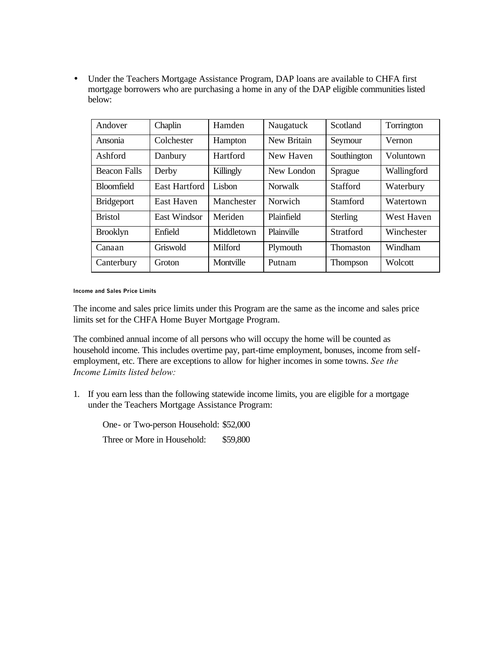• Under the Teachers Mortgage Assistance Program, DAP loans are available to CHFA first mortgage borrowers who are purchasing a home in any of the DAP eligible communities listed below:

| Andover             | Chaplin              | Hamden     | Naugatuck      | Scotland         | Torrington  |
|---------------------|----------------------|------------|----------------|------------------|-------------|
| Ansonia             | Colchester           | Hampton    | New Britain    | Seymour          | Vernon      |
| Ashford             | Danbury              | Hartford   | New Haven      | Southington      | Voluntown   |
| <b>Beacon Falls</b> | Derby                | Killingly  | New London     | Sprague          | Wallingford |
| <b>Bloomfield</b>   | <b>East Hartford</b> | Lisbon     | <b>Norwalk</b> | <b>Stafford</b>  | Waterbury   |
| Bridgeport          | East Haven           | Manchester | Norwich        | Stamford         | Watertown   |
| <b>Bristol</b>      | <b>East Windsor</b>  | Meriden    | Plainfield     | Sterling         | West Haven  |
| <b>Brooklyn</b>     | Enfield              | Middletown | Plainville     | <b>Stratford</b> | Winchester  |
| Canaan              | Griswold             | Milford    | Plymouth       | <b>Thomaston</b> | Windham     |
| Canterbury          | Groton               | Montville  | Putnam         | <b>Thompson</b>  | Wolcott     |

**Income and Sales Price Limits** 

The income and sales price limits under this Program are the same as the income and sales price limits set for the CHFA Home Buyer Mortgage Program.

The combined annual income of all persons who will occupy the home will be counted as household income. This includes overtime pay, part-time employment, bonuses, income from selfemployment, etc. There are exceptions to allow for higher incomes in some towns. *See the Income Limits listed below:* 

1. If you earn less than the following statewide income limits, you are eligible for a mortgage under the Teachers Mortgage Assistance Program:

One- or Two-person Household: \$52,000 Three or More in Household: \$59,800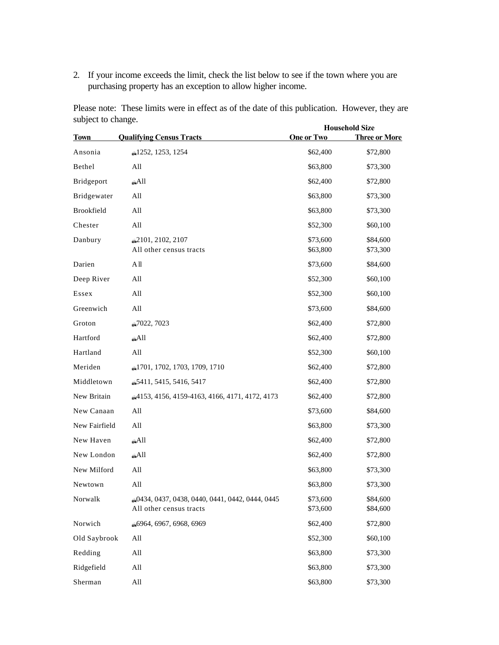2. If your income exceeds the limit, check the list below to see if the town where you are purchasing property has an exception to allow higher income.

Please note: These limits were in effect as of the date of this publication. However, they are subject to change. **Household Size** 

|               |                                                                           |                      | <b>HOUSENOIG SIZE</b> |
|---------------|---------------------------------------------------------------------------|----------------------|-----------------------|
| <b>Town</b>   | <b>Qualifying Census Tracts</b>                                           | <b>One or Two</b>    | <b>Three or More</b>  |
| Ansonia       | £1252, 1253, 1254                                                         | \$62,400             | \$72,800              |
| Bethel        | All                                                                       | \$63,800             | \$73,300              |
| Bridgeport    | ناAll،                                                                    | \$62,400             | \$72,800              |
| Bridgewater   | All                                                                       | \$63,800             | \$73,300              |
| Brookfield    | All                                                                       | \$63,800             | \$73,300              |
| Chester       | All                                                                       | \$52,300             | \$60,100              |
| Danbury       | 2101, 2102, 2107<br>All other census tracts                               | \$73,600<br>\$63,800 | \$84,600<br>\$73,300  |
| Darien        | A <sub>II</sub>                                                           | \$73,600             | \$84,600              |
| Deep River    | All                                                                       | \$52,300             | \$60,100              |
| Essex         | All                                                                       | \$52,300             | \$60,100              |
| Greenwich     | All                                                                       | \$73,600             | \$84,600              |
| Groton        | @7022, 7023                                                               | \$62,400             | \$72,800              |
| Hartford      | $\triangle$ All                                                           | \$62,400             | \$72,800              |
| Hartland      | All                                                                       | \$52,300             | \$60,100              |
| Meriden       | 1701, 1702, 1703, 1709, 1710                                              | \$62,400             | \$72,800              |
| Middletown    | 65411, 5415, 5416, 5417                                                   | \$62,400             | \$72,800              |
| New Britain   | 4153, 4156, 4159-4163, 4166, 4171, 4172, 4173                             | \$62,400             | \$72,800              |
| New Canaan    | All                                                                       | \$73,600             | \$84,600              |
| New Fairfield | All                                                                       | \$63,800             | \$73,300              |
| New Haven     | $A$ ll                                                                    | \$62,400             | \$72,800              |
| New London    | آاڪٽ                                                                      | \$62,400             | \$72,800              |
| New Milford   | All                                                                       | \$63,800             | \$73,300              |
| Newtown       | All                                                                       | \$63,800             | \$73,300              |
| Norwalk       | 6434, 0437, 0438, 0440, 0441, 0442, 0444, 0445<br>All other census tracts | \$73,600<br>\$73,600 | \$84,600<br>\$84,600  |
| Norwich       | 6964, 6967, 6968, 6969                                                    | \$62,400             | \$72,800              |
| Old Saybrook  | All                                                                       | \$52,300             | \$60,100              |
| Redding       | All                                                                       | \$63,800             | \$73,300              |
| Ridgefield    | All                                                                       | \$63,800             | \$73,300              |
| Sherman       | All                                                                       | \$63,800             | \$73,300              |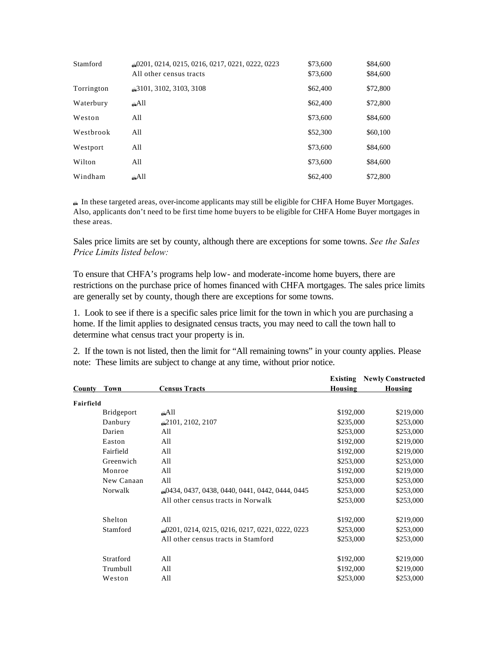| Stamford   | 60201, 0214, 0215, 0216, 0217, 0221, 0222, 0223<br>All other census tracts | \$73,600<br>\$73,600 | \$84,600<br>\$84,600 |
|------------|----------------------------------------------------------------------------|----------------------|----------------------|
| Torrington | 63101, 3102, 3103, 3108                                                    | \$62,400             | \$72,800             |
| Waterbury  | نه،                                                                        | \$62,400             | \$72,800             |
| Weston     | All                                                                        | \$73,600             | \$84,600             |
| Westbrook  | All                                                                        | \$52,300             | \$60,100             |
| Westport   | All                                                                        | \$73,600             | \$84,600             |
| Wilton     | All                                                                        | \$73,600             | \$84,600             |
| Windham    | نه،                                                                        | \$62,400             | \$72,800             |

� In these targeted areas, over-income applicants may still be eligible for CHFA Home Buyer Mortgages. Also, applicants don't need to be first time home buyers to be eligible for CHFA Home Buyer mortgages in these areas.

Sales price limits are set by county, although there are exceptions for some towns. *See the Sales Price Limits listed below:* 

To ensure that CHFA's programs help low- and moderate-income home buyers, there are restrictions on the purchase price of homes financed with CHFA mortgages. The sales price limits are generally set by county, though there are exceptions for some towns.

1. Look to see if there is a specific sales price limit for the town in whic h you are purchasing a home. If the limit applies to designated census tracts, you may need to call the town hall to determine what census tract your property is in.

2. If the town is not listed, then the limit for "All remaining towns" in your county applies. Please note: These limits are subject to change at any time, without prior notice.

|           |                   |                                                 | Existing  | <b>Newly Constructed</b> |
|-----------|-------------------|-------------------------------------------------|-----------|--------------------------|
| County    | Town              | <b>Census Tracts</b>                            | Housing   | Housing                  |
| Fairfield |                   |                                                 |           |                          |
|           | <b>Bridgeport</b> | All،                                            | \$192,000 | \$219,000                |
|           | Danbury           | 62101, 2102, 2107                               | \$235,000 | \$253,000                |
|           | Darien            | All                                             | \$253,000 | \$253,000                |
|           | Easton            | All                                             | \$192,000 | \$219,000                |
|           | Fairfield         | All                                             | \$192,000 | \$219,000                |
|           | Greenwich         | All                                             | \$253,000 | \$253,000                |
|           | Monroe            | All                                             | \$192,000 | \$219,000                |
|           | New Canaan        | All                                             | \$253,000 | \$253,000                |
|           | Norwalk           | 60434, 0437, 0438, 0440, 0441, 0442, 0444, 0445 | \$253,000 | \$253,000                |
|           |                   | All other census tracts in Norwalk              | \$253,000 | \$253,000                |
|           | Shelton           | All                                             | \$192,000 | \$219,000                |
|           | Stamford          | 0222, 0223, 0210, 0217, 0221, 0222, 0223        | \$253,000 | \$253,000                |
|           |                   | All other census tracts in Stamford             | \$253,000 | \$253,000                |
|           | Stratford         | All                                             | \$192,000 | \$219,000                |
|           | Trumbull          | All                                             | \$192,000 | \$219,000                |
|           | Weston            | All                                             | \$253,000 | \$253,000                |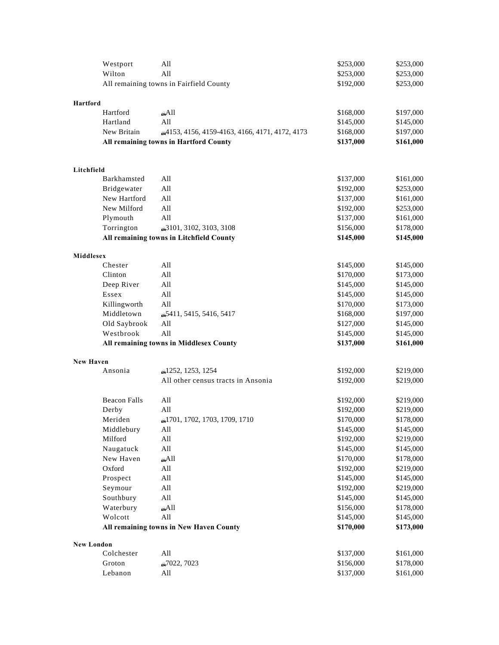|                   | Westport            | All                                           | \$253,000 | \$253,000 |
|-------------------|---------------------|-----------------------------------------------|-----------|-----------|
|                   | Wilton              | All                                           | \$253,000 | \$253,000 |
|                   |                     | All remaining towns in Fairfield County       | \$192,000 | \$253,000 |
|                   |                     |                                               |           |           |
| <b>Hartford</b>   |                     |                                               |           |           |
|                   | Hartford            | $A$ ll                                        | \$168,000 | \$197,000 |
|                   | Hartland            | All                                           | \$145,000 | \$145,000 |
|                   | New Britain         | 4153, 4156, 4159-4163, 4166, 4171, 4172, 4173 | \$168,000 | \$197,000 |
|                   |                     | All remaining towns in Hartford County        | \$137,000 | \$161,000 |
|                   |                     |                                               |           |           |
| Litchfield        |                     |                                               |           |           |
|                   | Barkhamsted         | All                                           | \$137,000 | \$161,000 |
|                   | Bridgewater         | All                                           | \$192,000 | \$253,000 |
|                   | New Hartford        | All                                           | \$137,000 | \$161,000 |
|                   | New Milford         | All                                           | \$192,000 | \$253,000 |
|                   | Plymouth            | All                                           | \$137,000 | \$161,000 |
|                   | Torrington          | 63101, 3102, 3103, 3108                       | \$156,000 | \$178,000 |
|                   |                     | All remaining towns in Litchfield County      | \$145,000 | \$145,000 |
| Middlesex         |                     |                                               |           |           |
|                   | Chester             | All                                           | \$145,000 | \$145,000 |
|                   | Clinton             | All                                           | \$170,000 | \$173,000 |
|                   | Deep River          | All                                           | \$145,000 | \$145,000 |
|                   | Essex               | All                                           | \$145,000 | \$145,000 |
|                   | Killingworth        | All                                           | \$170,000 | \$173,000 |
|                   | Middletown          | 65411, 5415, 5416, 5417                       | \$168,000 | \$197,000 |
|                   | Old Saybrook        | All                                           | \$127,000 | \$145,000 |
|                   | Westbrook           | All                                           | \$145,000 | \$145,000 |
|                   |                     | All remaining towns in Middlesex County       | \$137,000 | \$161,000 |
|                   |                     |                                               |           |           |
| <b>New Haven</b>  | Ansonia             | £1252, 1253, 1254                             | \$192,000 | \$219,000 |
|                   |                     | All other census tracts in Ansonia            | \$192,000 | \$219,000 |
|                   |                     |                                               |           |           |
|                   | <b>Beacon Falls</b> | All                                           | \$192,000 | \$219,000 |
|                   | Derby               | All                                           | \$192,000 | \$219,000 |
|                   | Meriden             | 1701, 1702, 1703, 1709, 1710                  | \$170,000 | \$178,000 |
|                   | Middlebury          | All                                           | \$145,000 | \$145,000 |
|                   | Milford             | All                                           | \$192,000 | \$219,000 |
|                   | Naugatuck           | All                                           | \$145,000 | \$145,000 |
|                   | New Haven           | $A$ ll                                        | \$170,000 | \$178,000 |
|                   | Oxford              | All                                           | \$192,000 | \$219,000 |
|                   | Prospect            | All                                           | \$145,000 | \$145,000 |
|                   | Seymour             | All                                           | \$192,000 | \$219,000 |
|                   | Southbury           | All                                           | \$145,000 | \$145,000 |
|                   | Waterbury           | aAll                                          | \$156,000 | \$178,000 |
|                   | Wolcott             | All                                           | \$145,000 | \$145,000 |
|                   |                     | All remaining towns in New Haven County       | \$170,000 | \$173,000 |
| <b>New London</b> |                     |                                               |           |           |
|                   | Colchester          | All                                           | \$137,000 | \$161,000 |
|                   | Groton              | @7022, 7023                                   | \$156,000 | \$178,000 |
|                   | Lebanon             | All                                           | \$137,000 | \$161,000 |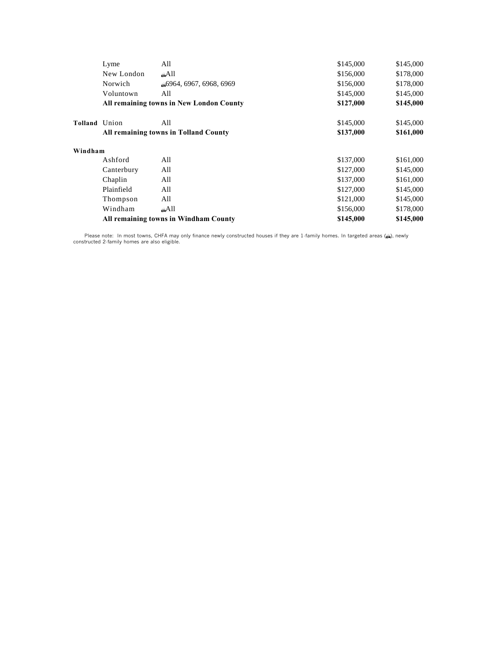|               | Lyme       | All                                      | \$145,000 | \$145,000 |
|---------------|------------|------------------------------------------|-----------|-----------|
|               | New London | $\triangle$ All                          | \$156,000 | \$178,000 |
|               | Norwich    | 6964, 6967, 6968, 6969                   | \$156,000 | \$178,000 |
|               | Voluntown  | All                                      | \$145,000 | \$145,000 |
|               |            | All remaining towns in New London County | \$127,000 | \$145,000 |
| Tolland Union |            | All                                      | \$145,000 | \$145,000 |
|               |            | All remaining towns in Tolland County    | \$137,000 | \$161,000 |
| Windham       |            |                                          |           |           |
|               | Ashford    | All                                      | \$137,000 | \$161,000 |
|               | Canterbury | All                                      | \$127,000 | \$145,000 |
|               | Chaplin    | All                                      | \$137,000 | \$161,000 |
|               | Plainfield | All                                      | \$127,000 | \$145,000 |
|               | Thompson   | All                                      | \$121,000 | \$145,000 |
|               | Windham    | a All                                    | \$156,000 | \$178,000 |
|               |            | All remaining towns in Windham County    | \$145,000 | \$145,000 |

Please note: In most towns, CHFA may only finance newly constructed houses if they are 1-family homes. In targeted areas (@), newly<br>constructed 2-family homes are also eligible.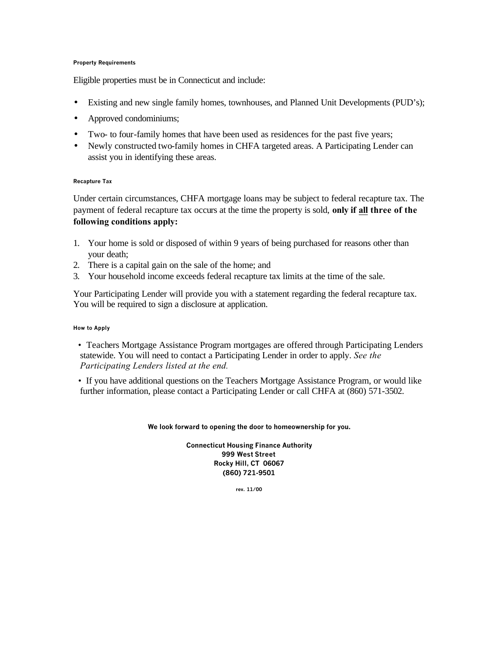#### **Property Requirements**

Eligible properties must be in Connecticut and include:

- Existing and new single family homes, townhouses, and Planned Unit Developments (PUD's);
- Approved condominiums;
- Two- to four-family homes that have been used as residences for the past five years;
- Newly constructed two-family homes in CHFA targeted areas. A Participating Lender can assist you in identifying these areas.

#### **Recapture Tax**

Under certain circumstances, CHFA mortgage loans may be subject to federal recapture tax. The payment of federal recapture tax occurs at the time the property is sold, **only if all three of the following conditions apply:** 

- 1. Your home is sold or disposed of within 9 years of being purchased for reasons other than your death;
- 2. There is a capital gain on the sale of the home; and
- 3. Your household income exceeds federal recapture tax limits at the time of the sale.

Your Participating Lender will provide you with a statement regarding the federal recapture tax. You will be required to sign a disclosure at application.

#### **How to Apply**

- Teachers Mortgage Assistance Program mortgages are offered through Participating Lenders statewide. You will need to contact a Participating Lender in order to apply. *See the Participating Lenders listed at the end.*
- If you have additional questions on the Teachers Mortgage Assistance Program, or would like further information, please contact a Participating Lender or call CHFA at (860) 571-3502.

**We look forward to opening the door to homeownership for you.** 

**Connecticut Housing Finance Authority 999 West Street Rocky Hill, CT 06067 (860) 721-9501**

**rev. 11/00**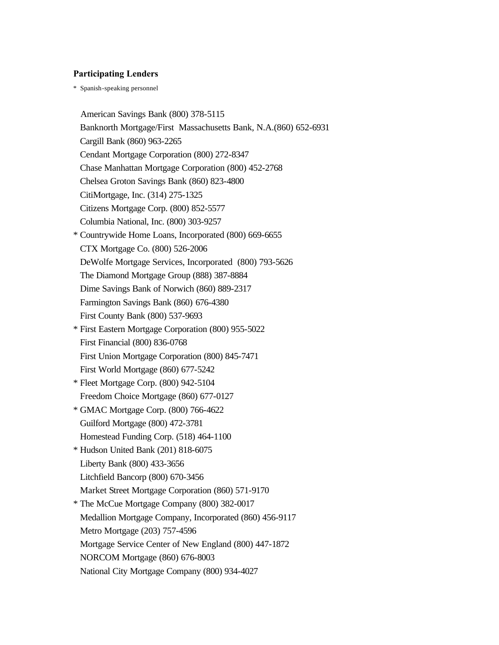### **Participating Lenders**

\* Spanish-speaking personnel

American Savings Bank (800) 378-5115 Banknorth Mortgage/First Massachusetts Bank, N.A.(860) 652-6931 Cargill Bank (860) 963-2265 Cendant Mortgage Corporation (800) 272-8347 Chase Manhattan Mortgage Corporation (800) 452-2768 Chelsea Groton Savings Bank (860) 823-4800 CitiMortgage, Inc. (314) 275-1325 Citizens Mortgage Corp. (800) 852-5577 Columbia National, Inc. (800) 303-9257 \* Countrywide Home Loans, Incorporated (800) 669-6655 CTX Mortgage Co. (800) 526-2006 DeWolfe Mortgage Services, Incorporated (800) 793-5626 The Diamond Mortgage Group (888) 387-8884 Dime Savings Bank of Norwich (860) 889-2317 Farmington Savings Bank (860) 676-4380 First County Bank (800) 537-9693 \* First Eastern Mortgage Corporation (800) 955-5022 First Financial (800) 836-0768 First Union Mortgage Corporation (800) 845-7471 First World Mortgage (860) 677-5242 \* Fleet Mortgage Corp. (800) 942-5104 Freedom Choice Mortgage (860) 677-0127 \* GMAC Mortgage Corp. (800) 766-4622 Guilford Mortgage (800) 472-3781 Homestead Funding Corp. (518) 464-1100 \* Hudson United Bank (201) 818-6075 Liberty Bank (800) 433-3656 Litchfield Bancorp (800) 670-3456 Market Street Mortgage Corporation (860) 571-9170 \* The McCue Mortgage Company (800) 382-0017 Medallion Mortgage Company, Incorporated (860) 456-9117 Metro Mortgage (203) 757-4596 Mortgage Service Center of New England (800) 447-1872 NORCOM Mortgage (860) 676-8003 National City Mortgage Company (800) 934-4027